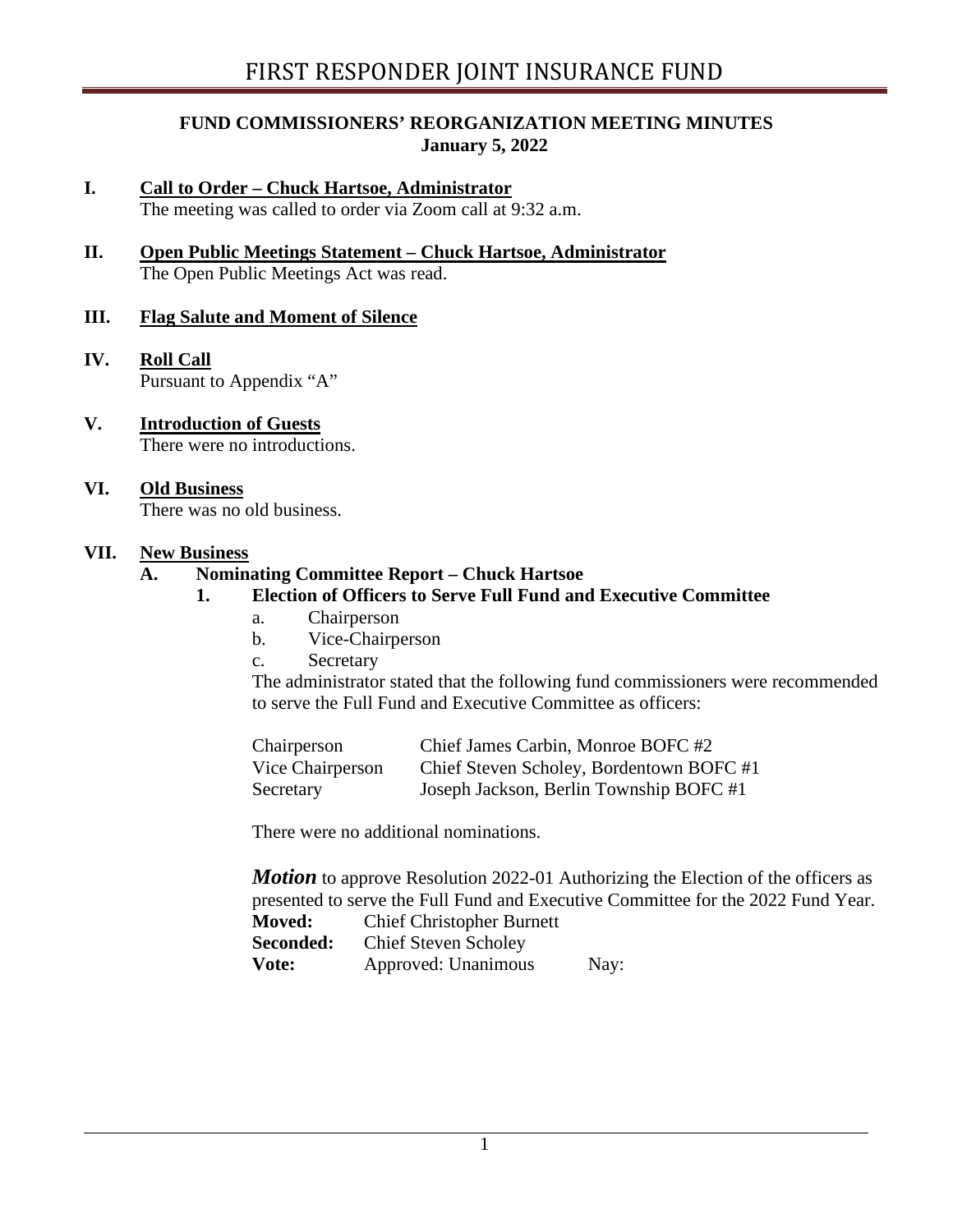## **FUND COMMISSIONERS' REORGANIZATION MEETING MINUTES January 5, 2022**

- **I. Call to Order – Chuck Hartsoe, Administrator** The meeting was called to order via Zoom call at 9:32 a.m.
- **II. Open Public Meetings Statement – Chuck Hartsoe, Administrator** The Open Public Meetings Act was read.

## **III. Flag Salute and Moment of Silence**

- **IV. Roll Call** Pursuant to Appendix "A"
- **V. Introduction of Guests** There were no introductions.
- **VI. Old Business** There was no old business.

#### **VII. New Business**

#### **A. Nominating Committee Report – Chuck Hartsoe**

- **1. Election of Officers to Serve Full Fund and Executive Committee**
	- a. Chairperson
	- b. Vice-Chairperson
	- c. Secretary

The administrator stated that the following fund commissioners were recommended to serve the Full Fund and Executive Committee as officers:

| Chairperson      | Chief James Carbin, Monroe BOFC #2       |
|------------------|------------------------------------------|
| Vice Chairperson | Chief Steven Scholey, Bordentown BOFC #1 |
| Secretary        | Joseph Jackson, Berlin Township BOFC #1  |

There were no additional nominations.

*Motion* to approve Resolution 2022-01 Authorizing the Election of the officers as presented to serve the Full Fund and Executive Committee for the 2022 Fund Year. **Moved:** Chief Christopher Burnett

| Seconded: | <b>Chief Steven Scholey</b> |      |  |
|-----------|-----------------------------|------|--|
| Vote:     | Approved: Unanimous         | Nay: |  |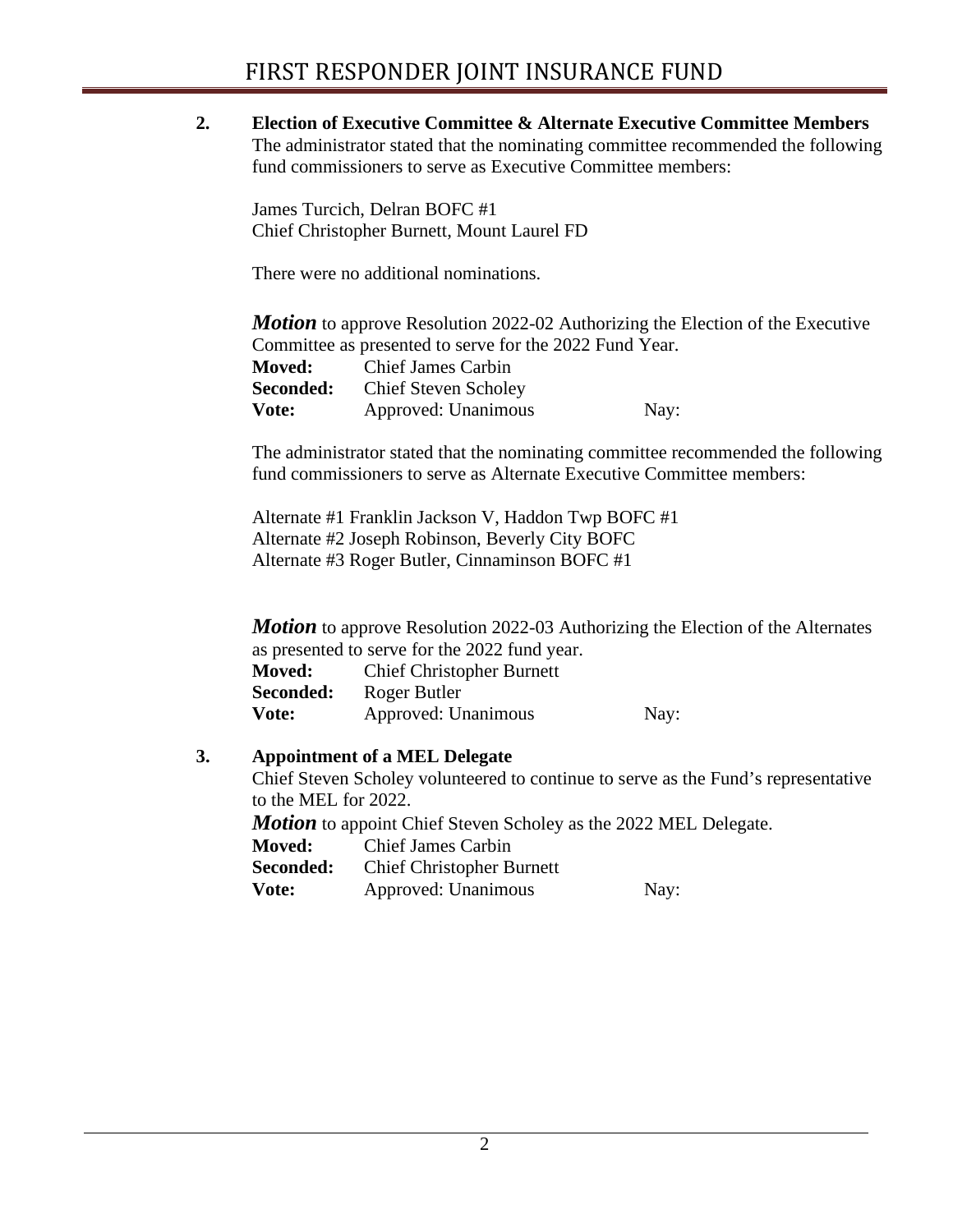**2. Election of Executive Committee & Alternate Executive Committee Members** The administrator stated that the nominating committee recommended the following fund commissioners to serve as Executive Committee members:

James Turcich, Delran BOFC #1 Chief Christopher Burnett, Mount Laurel FD

There were no additional nominations.

*Motion* to approve Resolution 2022-02 Authorizing the Election of the Executive Committee as presented to serve for the 2022 Fund Year.

| <b>Moved:</b> | <b>Chief James Carbin</b>   |      |
|---------------|-----------------------------|------|
| Seconded:     | <b>Chief Steven Scholey</b> |      |
| Vote:         | Approved: Unanimous         | Nay: |

The administrator stated that the nominating committee recommended the following fund commissioners to serve as Alternate Executive Committee members:

Alternate #1 Franklin Jackson V, Haddon Twp BOFC #1 Alternate #2 Joseph Robinson, Beverly City BOFC Alternate #3 Roger Butler, Cinnaminson BOFC #1

*Motion* to approve Resolution 2022-03 Authorizing the Election of the Alternates as presented to serve for the 2022 fund year.

| <b>Moved:</b> | <b>Chief Christopher Burnett</b> |      |
|---------------|----------------------------------|------|
| Seconded:     | Roger Butler                     |      |
| Vote:         | Approved: Unanimous              | Nay: |

# **3. Appointment of a MEL Delegate**

Chief Steven Scholey volunteered to continue to serve as the Fund's representative to the MEL for 2022.

**Motion** to appoint Chief Steven Scholey as the 2022 MEL Delegate.

**Moved:** Chief James Carbin

| <b>Seconded:</b> | <b>Chief Christopher Burnett</b> |      |
|------------------|----------------------------------|------|
| <b>Vote:</b>     | Approved: Unanimous              | Nay: |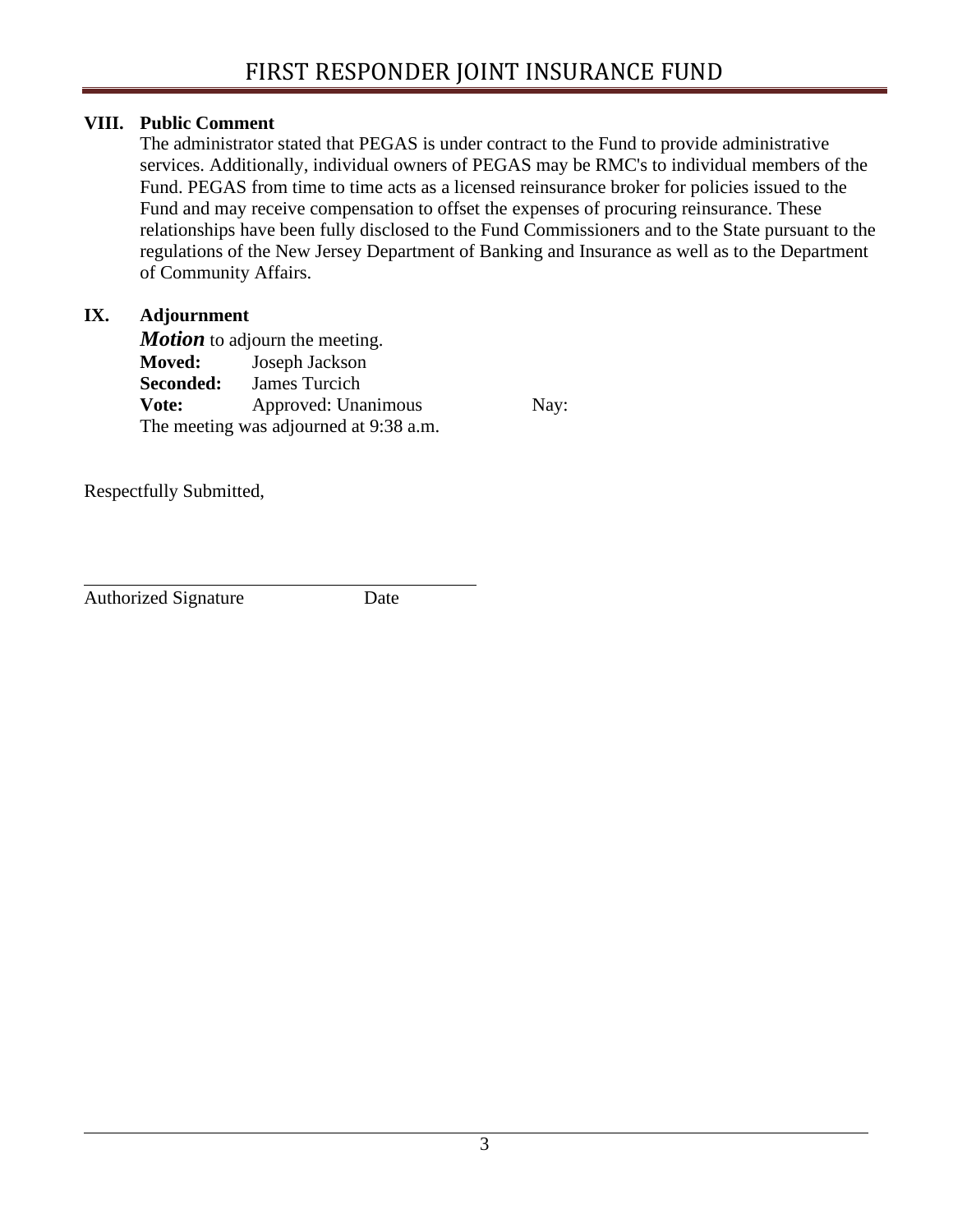# **VIII. Public Comment**

The administrator stated that PEGAS is under contract to the Fund to provide administrative services. Additionally, individual owners of PEGAS may be RMC's to individual members of the Fund. PEGAS from time to time acts as a licensed reinsurance broker for policies issued to the Fund and may receive compensation to offset the expenses of procuring reinsurance. These relationships have been fully disclosed to the Fund Commissioners and to the State pursuant to the regulations of the New Jersey Department of Banking and Insurance as well as to the Department of Community Affairs.

# **IX. Adjournment**

*Motion* to adjourn the meeting. **Moved:** Joseph Jackson **Seconded:** James Turcich **Vote:** Approved: Unanimous Nay: The meeting was adjourned at 9:38 a.m.

Respectfully Submitted,

Authorized Signature Date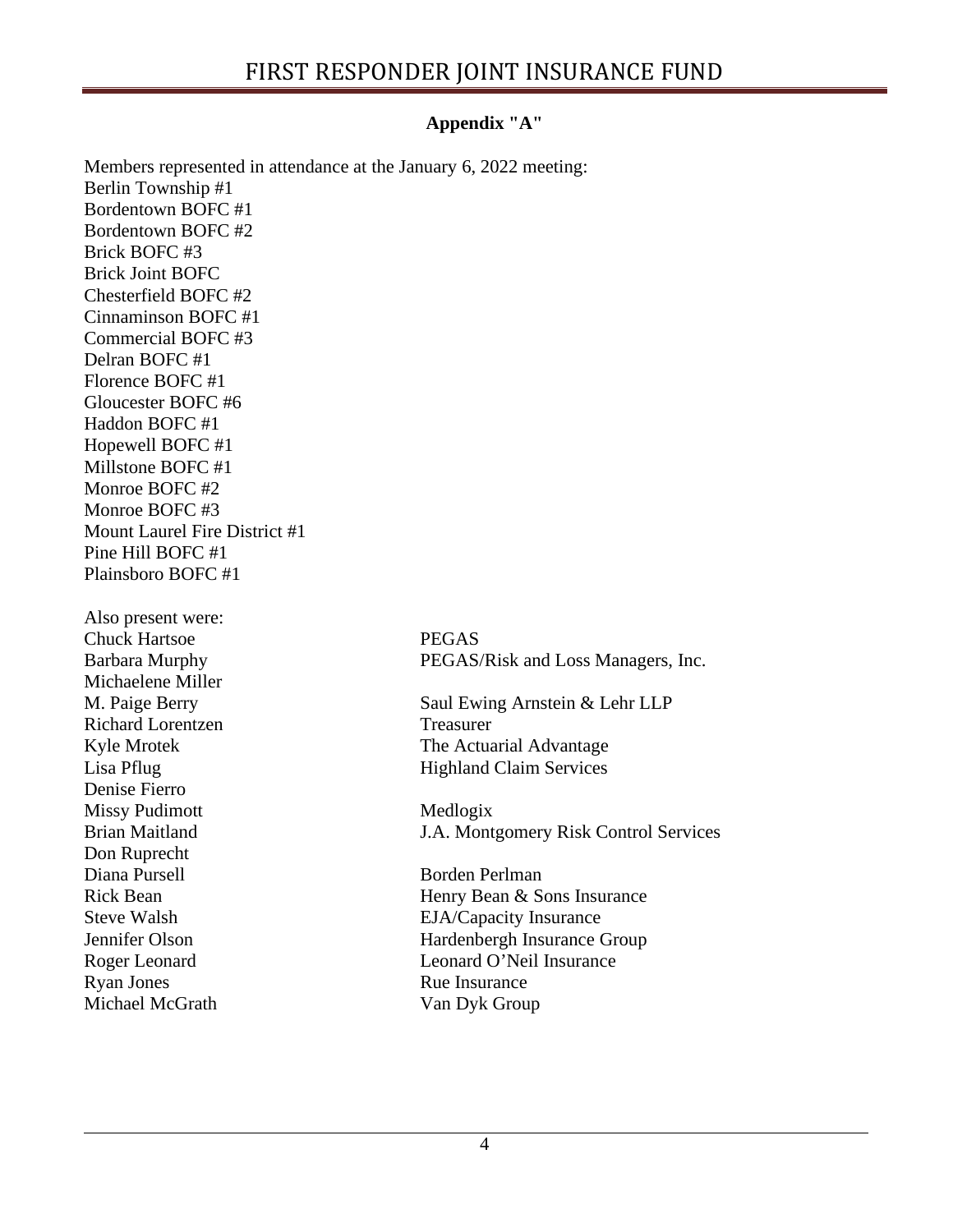# **Appendix "A"**

Members represented in attendance at the January 6, 2022 meeting: Berlin Township #1 Bordentown BOFC #1 Bordentown BOFC #2 Brick BOFC #3 Brick Joint BOFC Chesterfield BOFC #2 Cinnaminson BOFC #1 Commercial BOFC #3 Delran BOFC #1 Florence BOFC #1 Gloucester BOFC #6 Haddon BOFC #1 Hopewell BOFC #1 Millstone BOFC #1 Monroe BOFC #2 Monroe BOFC #3 Mount Laurel Fire District #1 Pine Hill BOFC #1 Plainsboro BOFC #1 Also present were: Chuck Hartsoe PEGAS Barbara Murphy PEGAS/Risk and Loss Managers, Inc. Michaelene Miller M. Paige Berry Saul Ewing Arnstein & Lehr LLP Richard Lorentzen Treasurer Kyle Mrotek The Actuarial Advantage Lisa Pflug Highland Claim Services Denise Fierro Missy Pudimott Medlogix Brian Maitland J.A. Montgomery Risk Control Services Don Ruprecht<br>Diana Pursell Borden Perlman Rick Bean Menry Bean & Sons Insurance Steve Walsh EJA/Capacity Insurance Jennifer Olson Hardenbergh Insurance Group Roger Leonard **Leonard O'Neil Insurance** Ryan Jones Rue Insurance Michael McGrath Van Dyk Group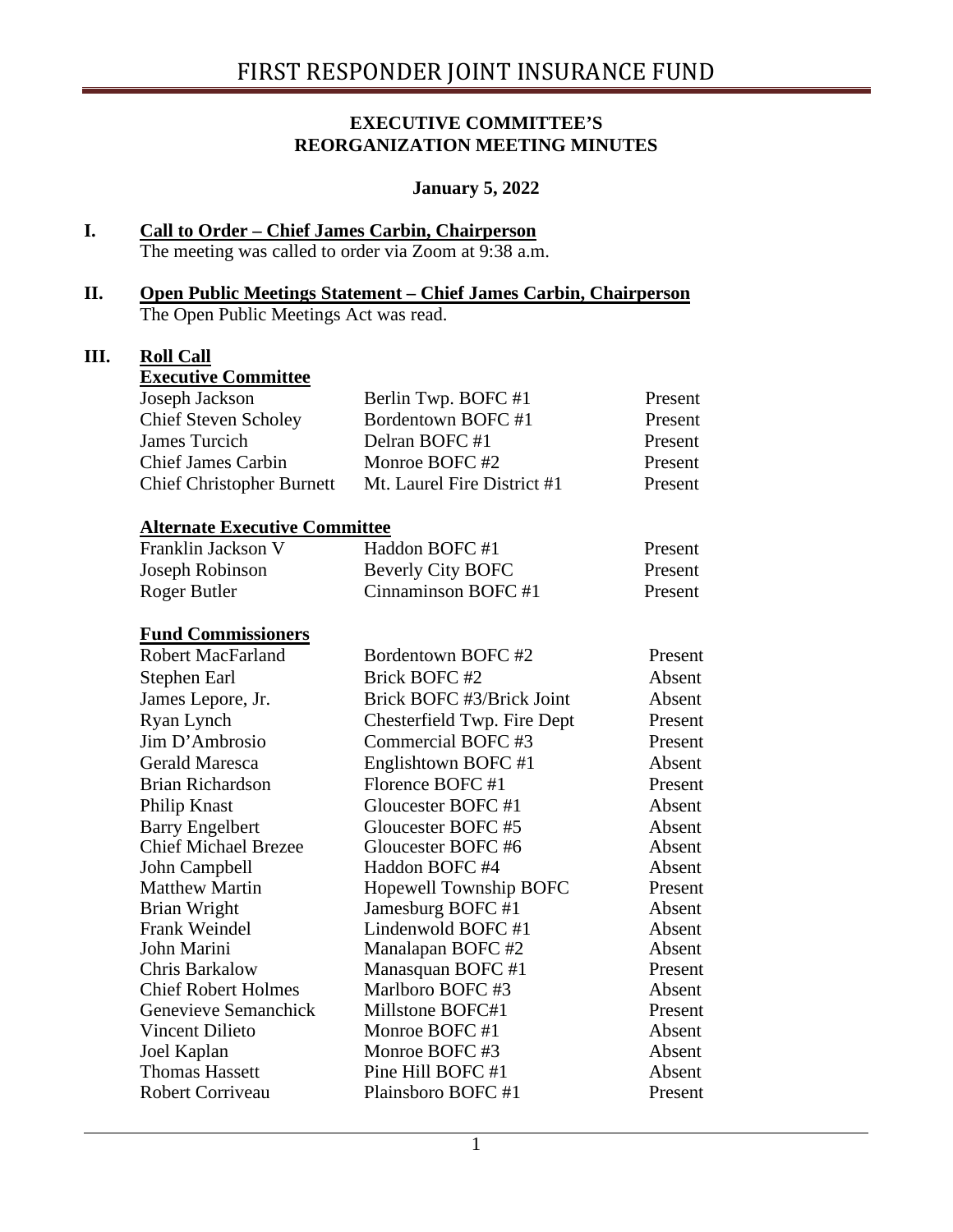## **EXECUTIVE COMMITTEE'S REORGANIZATION MEETING MINUTES**

#### **January 5, 2022**

# **I. Call to Order – Chief James Carbin, Chairperson**

The meeting was called to order via Zoom at 9:38 a.m.

#### **II. Open Public Meetings Statement – Chief James Carbin, Chairperson** The Open Public Meetings Act was read.

## **III. Roll Call**

| <b>Executive Committee</b>           |                               |         |
|--------------------------------------|-------------------------------|---------|
| Joseph Jackson                       | Berlin Twp. BOFC #1           | Present |
| <b>Chief Steven Scholey</b>          | Bordentown BOFC #1            | Present |
| <b>James Turcich</b>                 | Delran BOFC#1                 | Present |
| <b>Chief James Carbin</b>            | Monroe BOFC #2                | Present |
| <b>Chief Christopher Burnett</b>     | Mt. Laurel Fire District #1   | Present |
| <b>Alternate Executive Committee</b> |                               |         |
| Franklin Jackson V                   | Haddon BOFC #1                | Present |
| Joseph Robinson                      | <b>Beverly City BOFC</b>      | Present |
| Roger Butler                         | Cinnaminson BOFC #1           | Present |
| <b>Fund Commissioners</b>            |                               |         |
| <b>Robert MacFarland</b>             | Bordentown BOFC #2            | Present |
| Stephen Earl                         | Brick BOFC #2                 | Absent  |
| James Lepore, Jr.                    | Brick BOFC #3/Brick Joint     | Absent  |
| Ryan Lynch                           | Chesterfield Twp. Fire Dept   | Present |
| Jim D'Ambrosio                       | Commercial BOFC#3             | Present |
| <b>Gerald Maresca</b>                | Englishtown BOFC #1           | Absent  |
| <b>Brian Richardson</b>              | Florence BOFC #1              | Present |
| Philip Knast                         | Gloucester BOFC #1            | Absent  |
| <b>Barry Engelbert</b>               | Gloucester BOFC #5            | Absent  |
| <b>Chief Michael Brezee</b>          | Gloucester BOFC #6            | Absent  |
| John Campbell                        | Haddon BOFC #4                | Absent  |
| <b>Matthew Martin</b>                | <b>Hopewell Township BOFC</b> | Present |
| <b>Brian Wright</b>                  | Jamesburg BOFC #1             | Absent  |
| Frank Weindel                        | Lindenwold BOFC #1            | Absent  |
| John Marini                          | Manalapan BOFC #2             | Absent  |
| Chris Barkalow                       | Manasquan BOFC #1             | Present |
| <b>Chief Robert Holmes</b>           | Marlboro BOFC#3               | Absent  |
| Genevieve Semanchick                 | Millstone BOFC#1              | Present |
| Vincent Dilieto                      | Monroe BOFC #1                | Absent  |
| Joel Kaplan                          | Monroe BOFC#3                 | Absent  |
| <b>Thomas Hassett</b>                | Pine Hill BOFC #1             | Absent  |
| <b>Robert Corriveau</b>              | Plainsboro BOFC #1            | Present |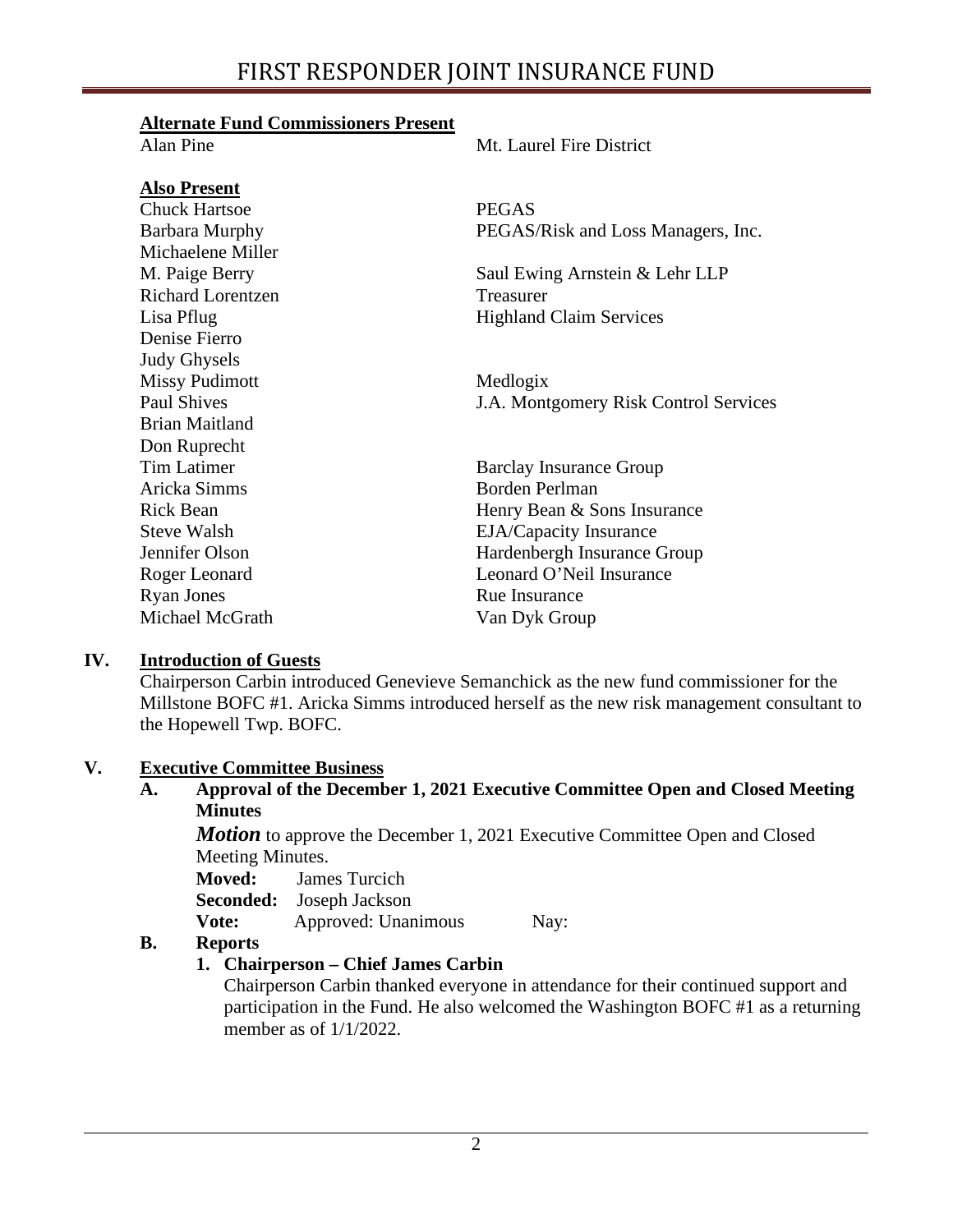## **Alternate Fund Commissioners Present**

| Alan Pine             | Mt. Laurel Fire District              |
|-----------------------|---------------------------------------|
| <b>Also Present</b>   |                                       |
| <b>Chuck Hartsoe</b>  | <b>PEGAS</b>                          |
| <b>Barbara Murphy</b> | PEGAS/Risk and Loss Managers, Inc.    |
| Michaelene Miller     |                                       |
| M. Paige Berry        | Saul Ewing Arnstein & Lehr LLP        |
| Richard Lorentzen     | Treasurer                             |
| Lisa Pflug            | <b>Highland Claim Services</b>        |
| Denise Fierro         |                                       |
| <b>Judy Ghysels</b>   |                                       |
| <b>Missy Pudimott</b> | Medlogix                              |
| <b>Paul Shives</b>    | J.A. Montgomery Risk Control Services |
| <b>Brian Maitland</b> |                                       |
| Don Ruprecht          |                                       |
| <b>Tim Latimer</b>    | <b>Barclay Insurance Group</b>        |
| Aricka Simms          | <b>Borden Perlman</b>                 |
| <b>Rick Bean</b>      | Henry Bean & Sons Insurance           |
| <b>Steve Walsh</b>    | <b>EJA/Capacity Insurance</b>         |
| Jennifer Olson        | Hardenbergh Insurance Group           |
| Roger Leonard         | Leonard O'Neil Insurance              |
| <b>Ryan Jones</b>     | Rue Insurance                         |
| Michael McGrath       | Van Dyk Group                         |

# **IV. Introduction of Guests**

Chairperson Carbin introduced Genevieve Semanchick as the new fund commissioner for the Millstone BOFC #1. Aricka Simms introduced herself as the new risk management consultant to the Hopewell Twp. BOFC.

## **V. Executive Committee Business**

**A. Approval of the December 1, 2021 Executive Committee Open and Closed Meeting Minutes**

*Motion* to approve the December 1, 2021 Executive Committee Open and Closed Meeting Minutes.

**Moved:** James Turcich

**Seconded:** Joseph Jackson

**Vote:** Approved: Unanimous Nay:

# **B. Reports**

# **1. Chairperson – Chief James Carbin**

Chairperson Carbin thanked everyone in attendance for their continued support and participation in the Fund. He also welcomed the Washington BOFC #1 as a returning member as of 1/1/2022.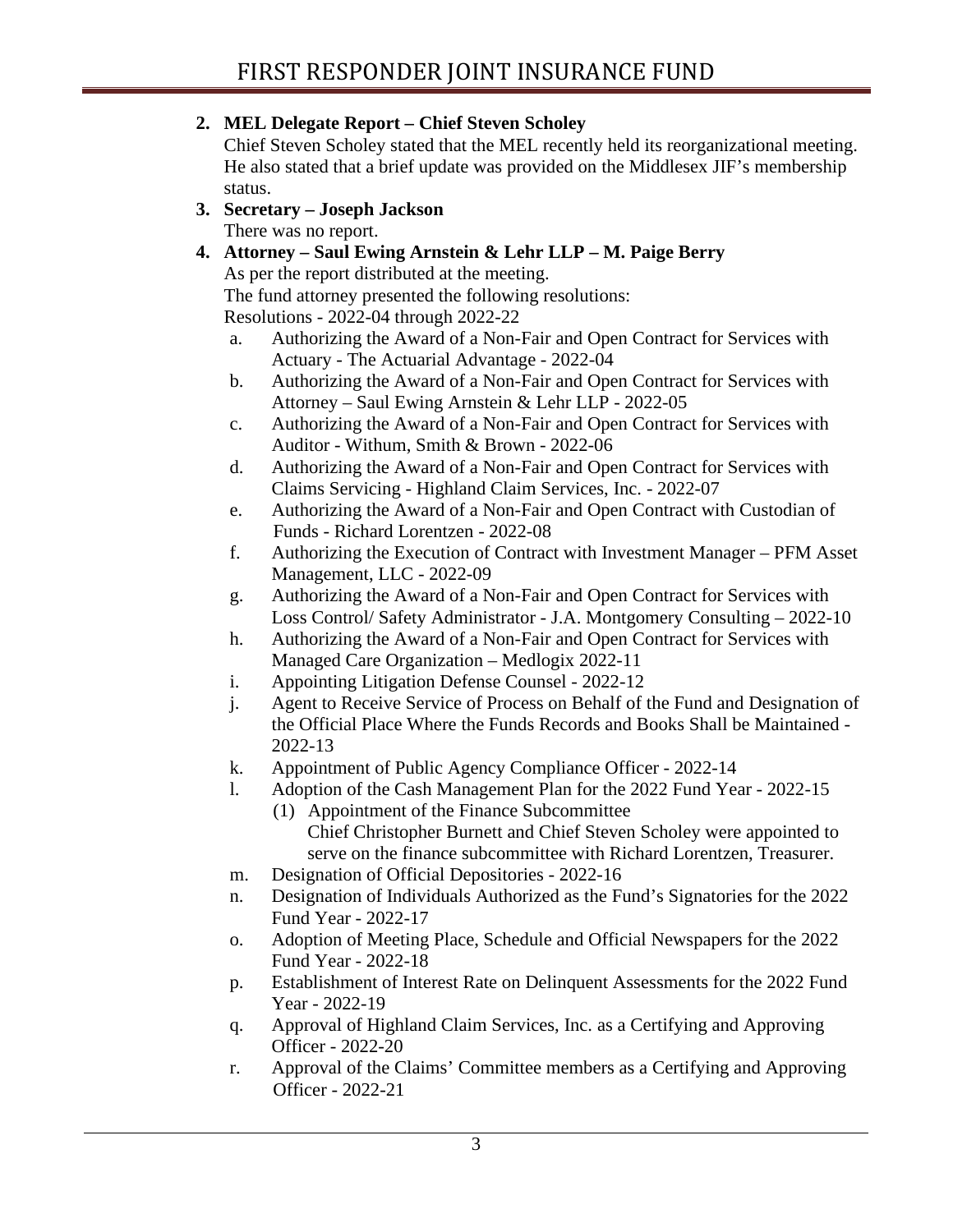**2. MEL Delegate Report – Chief Steven Scholey**

Chief Steven Scholey stated that the MEL recently held its reorganizational meeting. He also stated that a brief update was provided on the Middlesex JIF's membership status.

- **3. Secretary – Joseph Jackson** There was no report.
- **4. Attorney – Saul Ewing Arnstein & Lehr LLP – M. Paige Berry**

As per the report distributed at the meeting.

The fund attorney presented the following resolutions:

Resolutions - 2022-04 through 2022-22

- a. Authorizing the Award of a Non-Fair and Open Contract for Services with Actuary - The Actuarial Advantage - 2022-04
- b. Authorizing the Award of a Non-Fair and Open Contract for Services with Attorney – Saul Ewing Arnstein & Lehr LLP - 2022-05
- c. Authorizing the Award of a Non-Fair and Open Contract for Services with Auditor - Withum, Smith & Brown - 2022-06
- d. Authorizing the Award of a Non-Fair and Open Contract for Services with Claims Servicing - Highland Claim Services, Inc. - 2022-07
- e. Authorizing the Award of a Non-Fair and Open Contract with Custodian of Funds - Richard Lorentzen - 2022-08
- f. Authorizing the Execution of Contract with Investment Manager PFM Asset Management, LLC - 2022-09
- g. Authorizing the Award of a Non-Fair and Open Contract for Services with Loss Control/ Safety Administrator - J.A. Montgomery Consulting – 2022-10
- h. Authorizing the Award of a Non-Fair and Open Contract for Services with Managed Care Organization – Medlogix 2022-11
- i. Appointing Litigation Defense Counsel 2022-12
- j. Agent to Receive Service of Process on Behalf of the Fund and Designation of the Official Place Where the Funds Records and Books Shall be Maintained - 2022-13
- k. Appointment of Public Agency Compliance Officer 2022-14
- l. Adoption of the Cash Management Plan for the 2022 Fund Year 2022-15
	- (1) Appointment of the Finance Subcommittee
		- Chief Christopher Burnett and Chief Steven Scholey were appointed to serve on the finance subcommittee with Richard Lorentzen, Treasurer.
- m. Designation of Official Depositories 2022-16
- n. Designation of Individuals Authorized as the Fund's Signatories for the 2022 Fund Year - 2022-17
- o. Adoption of Meeting Place, Schedule and Official Newspapers for the 2022 Fund Year - 2022-18
- p. Establishment of Interest Rate on Delinquent Assessments for the 2022 Fund Year - 2022-19
- q. Approval of Highland Claim Services, Inc. as a Certifying and Approving Officer - 2022-20
- r. Approval of the Claims' Committee members as a Certifying and Approving Officer - 2022-21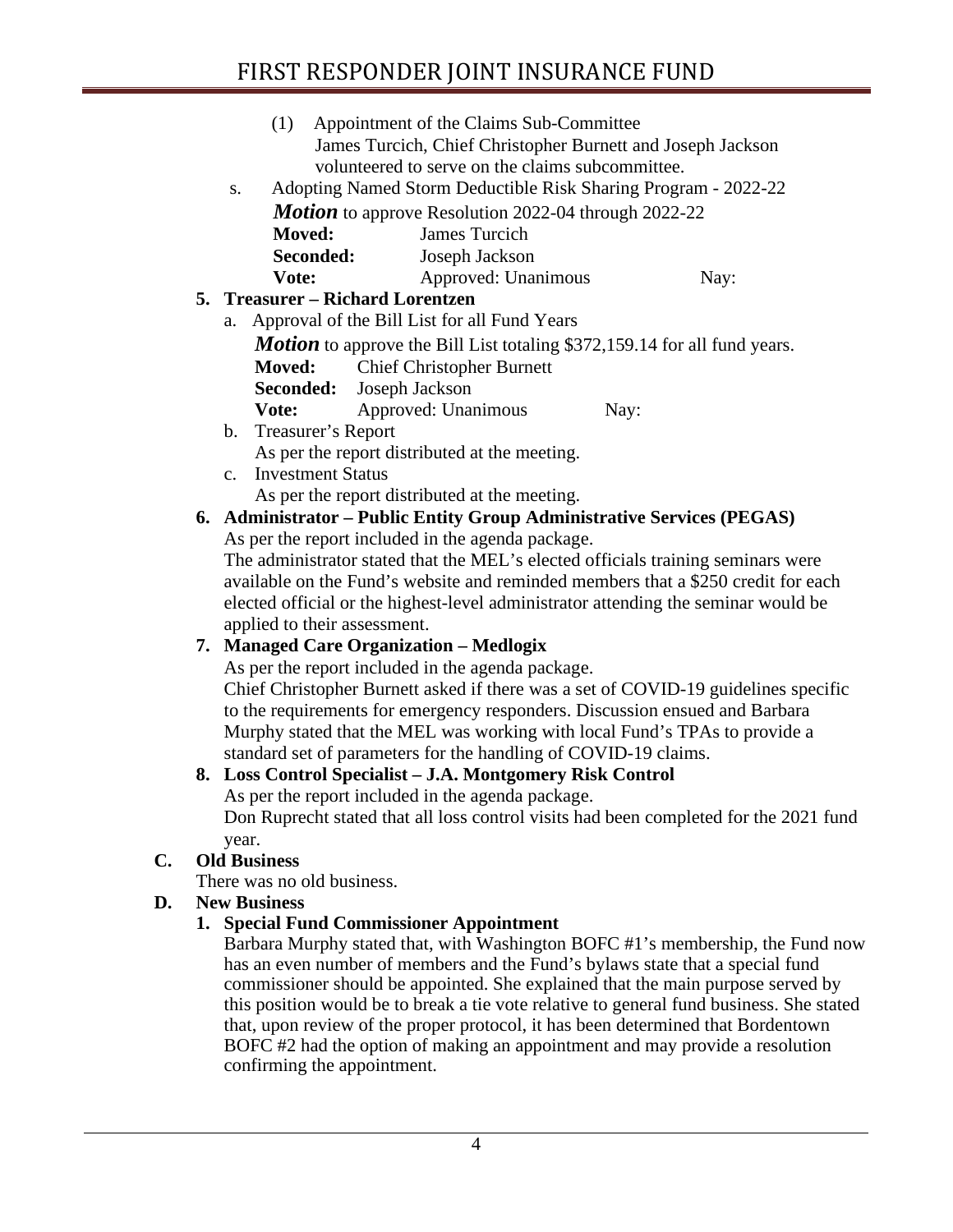# FIRST RESPONDER JOINT INSURANCE FUND

|                                                                      |                                                                                                                                                                         | (1)                          | Appointment of the Claims Sub-Committee                         |  |                                                                                       |  |
|----------------------------------------------------------------------|-------------------------------------------------------------------------------------------------------------------------------------------------------------------------|------------------------------|-----------------------------------------------------------------|--|---------------------------------------------------------------------------------------|--|
|                                                                      | James Turcich, Chief Christopher Burnett and Joseph Jackson                                                                                                             |                              |                                                                 |  |                                                                                       |  |
| volunteered to serve on the claims subcommittee.                     |                                                                                                                                                                         |                              |                                                                 |  |                                                                                       |  |
| Adopting Named Storm Deductible Risk Sharing Program - 2022-22<br>S. |                                                                                                                                                                         |                              |                                                                 |  |                                                                                       |  |
|                                                                      |                                                                                                                                                                         |                              | <b>Motion</b> to approve Resolution 2022-04 through 2022-22     |  |                                                                                       |  |
|                                                                      |                                                                                                                                                                         | <b>Moved:</b>                | James Turcich                                                   |  |                                                                                       |  |
|                                                                      |                                                                                                                                                                         | Seconded:                    | Joseph Jackson                                                  |  |                                                                                       |  |
|                                                                      |                                                                                                                                                                         | Vote:                        | Approved: Unanimous                                             |  | Nay:                                                                                  |  |
|                                                                      |                                                                                                                                                                         |                              | 5. Treasurer – Richard Lorentzen                                |  |                                                                                       |  |
|                                                                      | a.                                                                                                                                                                      |                              | Approval of the Bill List for all Fund Years                    |  |                                                                                       |  |
|                                                                      |                                                                                                                                                                         |                              |                                                                 |  | <b>Motion</b> to approve the Bill List totaling \$372,159.14 for all fund years.      |  |
|                                                                      |                                                                                                                                                                         | <b>Moved:</b>                | <b>Chief Christopher Burnett</b>                                |  |                                                                                       |  |
|                                                                      |                                                                                                                                                                         | Seconded:                    | Joseph Jackson                                                  |  |                                                                                       |  |
|                                                                      |                                                                                                                                                                         | Vote:                        | Approved: Unanimous                                             |  | Nay:                                                                                  |  |
|                                                                      | $\mathbf b$ .                                                                                                                                                           | Treasurer's Report           |                                                                 |  |                                                                                       |  |
|                                                                      |                                                                                                                                                                         |                              | As per the report distributed at the meeting.                   |  |                                                                                       |  |
|                                                                      |                                                                                                                                                                         | c. Investment Status         |                                                                 |  |                                                                                       |  |
|                                                                      |                                                                                                                                                                         |                              | As per the report distributed at the meeting.                   |  |                                                                                       |  |
|                                                                      |                                                                                                                                                                         |                              |                                                                 |  | 6. Administrator – Public Entity Group Administrative Services (PEGAS)                |  |
|                                                                      |                                                                                                                                                                         |                              | As per the report included in the agenda package.               |  |                                                                                       |  |
|                                                                      |                                                                                                                                                                         |                              |                                                                 |  | The administrator stated that the MEL's elected officials training seminars were      |  |
|                                                                      | available on the Fund's website and reminded members that a \$250 credit for each<br>elected official or the highest-level administrator attending the seminar would be |                              |                                                                 |  |                                                                                       |  |
|                                                                      |                                                                                                                                                                         |                              |                                                                 |  |                                                                                       |  |
|                                                                      |                                                                                                                                                                         | applied to their assessment. |                                                                 |  |                                                                                       |  |
| 7.                                                                   |                                                                                                                                                                         |                              | <b>Managed Care Organization - Medlogix</b>                     |  |                                                                                       |  |
|                                                                      |                                                                                                                                                                         |                              | As per the report included in the agenda package.               |  |                                                                                       |  |
|                                                                      |                                                                                                                                                                         |                              |                                                                 |  | Chief Christopher Burnett asked if there was a set of COVID-19 guidelines specific    |  |
|                                                                      |                                                                                                                                                                         |                              |                                                                 |  | to the requirements for emergency responders. Discussion ensued and Barbara           |  |
|                                                                      |                                                                                                                                                                         |                              |                                                                 |  | Murphy stated that the MEL was working with local Fund's TPAs to provide a            |  |
|                                                                      |                                                                                                                                                                         |                              | standard set of parameters for the handling of COVID-19 claims. |  |                                                                                       |  |
|                                                                      |                                                                                                                                                                         |                              | 8. Loss Control Specialist - J.A. Montgomery Risk Control       |  |                                                                                       |  |
|                                                                      |                                                                                                                                                                         |                              | As per the report included in the agenda package.               |  |                                                                                       |  |
|                                                                      |                                                                                                                                                                         |                              |                                                                 |  | Don Ruprecht stated that all loss control visits had been completed for the 2021 fund |  |

year.

# **C. Old Business**

There was no old business.

# **D. New Business**

# **1. Special Fund Commissioner Appointment**

Barbara Murphy stated that, with Washington BOFC #1's membership, the Fund now has an even number of members and the Fund's bylaws state that a special fund commissioner should be appointed. She explained that the main purpose served by this position would be to break a tie vote relative to general fund business. She stated that, upon review of the proper protocol, it has been determined that Bordentown BOFC #2 had the option of making an appointment and may provide a resolution confirming the appointment.